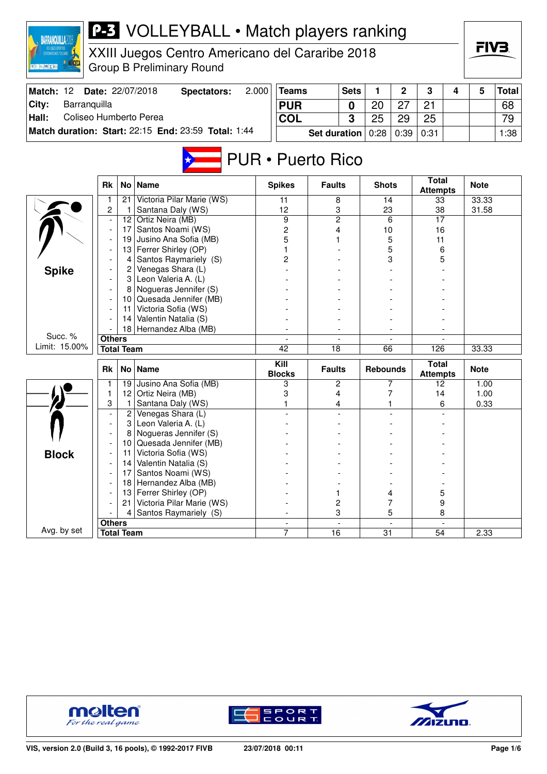| <b>BARRANQUILLA2018</b><br><b>夏阳 三腹 X 配</b> |                |                   | <b>P-3</b> VOLLEYBALL • Match players ranking<br>XXIII Juegos Centro Americano del Cararibe 2018<br><b>Group B Preliminary Round</b> |       |                          |                     |                          |                 |                |                                 |   | FIV3        |              |
|---------------------------------------------|----------------|-------------------|--------------------------------------------------------------------------------------------------------------------------------------|-------|--------------------------|---------------------|--------------------------|-----------------|----------------|---------------------------------|---|-------------|--------------|
| Match: 12                                   |                |                   | Date: 22/07/2018<br><b>Spectators:</b>                                                                                               | 2.000 | <b>Teams</b>             |                     | <b>Sets</b>              | 1               | 2              | 3                               | 4 | 5           | <b>Total</b> |
| City:<br>Barranquilla                       |                |                   |                                                                                                                                      |       | <b>PUR</b>               |                     |                          | 20              | 27             | 21                              |   |             | 68           |
|                                             |                |                   |                                                                                                                                      |       |                          |                     | 0                        |                 |                |                                 |   |             |              |
| Coliseo Humberto Perea<br>Hall:             |                |                   |                                                                                                                                      |       | <b>COL</b>               |                     | 3                        | 25              | 29             | 25                              |   |             | 79           |
|                                             |                |                   | Match duration: Start: 22:15 End: 23:59 Total: 1:44                                                                                  |       |                          | <b>Set duration</b> |                          | 0:28            | 0:39           | 0:31                            |   |             | 1:38         |
|                                             |                |                   |                                                                                                                                      |       | <b>PUR</b> • Puerto Rico |                     |                          |                 |                |                                 |   |             |              |
|                                             | <b>Rk</b>      | No <sub>1</sub>   | <b>Name</b>                                                                                                                          |       | <b>Spikes</b>            | <b>Faults</b>       |                          | <b>Shots</b>    |                | <b>Total</b><br><b>Attempts</b> |   | <b>Note</b> |              |
|                                             | 1              | 21.               | Victoria Pilar Marie (WS)                                                                                                            |       | 11                       | 8                   |                          | 14              |                | 33                              |   | 33.33       |              |
|                                             | $\overline{2}$ | $\mathbf{1}$      | Santana Daly (WS)                                                                                                                    |       | 12                       | 3                   |                          | 23              |                | 38                              |   | 31.58       |              |
|                                             |                |                   | 12 Ortiz Neira (MB)                                                                                                                  |       | 9                        | $\overline{c}$      |                          |                 | 6              | 17                              |   |             |              |
|                                             |                | 17<br>19          | Santos Noami (WS)<br>Jusino Ana Sofia (MB)                                                                                           |       | 2<br>5                   | 4                   |                          | 10              | 5              | 16<br>11                        |   |             |              |
|                                             |                |                   | 13 Ferrer Shirley (OP)                                                                                                               |       |                          |                     |                          |                 | 5              | 6                               |   |             |              |
|                                             |                | 4                 | Santos Raymariely (S)                                                                                                                |       | 2                        |                     |                          |                 | 3              | 5                               |   |             |              |
| <b>Spike</b>                                |                | 2                 | Venegas Shara (L)                                                                                                                    |       |                          |                     |                          |                 |                |                                 |   |             |              |
|                                             |                |                   | 3 Leon Valeria A. (L)                                                                                                                |       |                          |                     |                          |                 |                |                                 |   |             |              |
|                                             |                |                   | 8 Nogueras Jennifer (S)                                                                                                              |       |                          |                     |                          |                 |                |                                 |   |             |              |
|                                             |                |                   | 10 Quesada Jennifer (MB)                                                                                                             |       |                          |                     |                          |                 |                |                                 |   |             |              |
|                                             |                | 11                | Victoria Sofia (WS)                                                                                                                  |       |                          |                     |                          |                 |                |                                 |   |             |              |
|                                             |                | 14                | Valentin Natalia (S)                                                                                                                 |       |                          |                     |                          |                 |                |                                 |   |             |              |
|                                             |                | 18                | Hernandez Alba (MB)                                                                                                                  |       |                          |                     |                          |                 |                |                                 |   |             |              |
| Succ. %                                     | <b>Others</b>  |                   |                                                                                                                                      |       |                          |                     |                          |                 |                |                                 |   |             |              |
| Limit: 15.00%                               |                | <b>Total Team</b> |                                                                                                                                      |       | 42                       | 18                  |                          | 66              |                | 126                             |   | 33.33       |              |
|                                             | <b>Rk</b>      | No <sub>1</sub>   | <b>Name</b>                                                                                                                          |       | Kill<br><b>Blocks</b>    | <b>Faults</b>       |                          | <b>Rebounds</b> |                | <b>Total</b><br><b>Attempts</b> |   | <b>Note</b> |              |
|                                             |                | 19 <sub>1</sub>   | Jusino Ana Sofia (MB)                                                                                                                |       | 3                        | 2                   |                          |                 | 7              | 12                              |   | 1.00        |              |
|                                             | 1              |                   | 12 Ortiz Neira (MB)                                                                                                                  |       | 3                        | 4                   |                          |                 | 7              | 14                              |   | 1.00        |              |
|                                             | 3              | $\mathbf{1}$      | Santana Daly (WS)                                                                                                                    |       |                          | 4                   |                          |                 |                | 6                               |   | 0.33        |              |
|                                             | $\overline{a}$ | 2                 | Venegas Shara (L)                                                                                                                    |       |                          |                     |                          |                 |                |                                 |   |             |              |
|                                             | $\overline{a}$ | 3                 | Leon Valeria A. (L)                                                                                                                  |       |                          |                     |                          |                 |                |                                 |   |             |              |
|                                             |                |                   | 8 Nogueras Jennifer (S)                                                                                                              |       |                          |                     |                          |                 |                |                                 |   |             |              |
|                                             |                | 10                | Quesada Jennifer (MB)                                                                                                                |       |                          |                     |                          |                 |                |                                 |   |             |              |
| <b>Block</b>                                |                | 11                | Victoria Sofia (WS)<br>Valentin Natalia (S)                                                                                          |       |                          |                     |                          |                 |                |                                 |   |             |              |
|                                             |                | 14<br>17          | Santos Noami (WS)                                                                                                                    |       |                          |                     |                          |                 |                |                                 |   |             |              |
|                                             |                | 18                | Hernandez Alba (MB)                                                                                                                  |       |                          |                     |                          |                 |                |                                 |   |             |              |
|                                             |                | 13                | Ferrer Shirley (OP)                                                                                                                  |       |                          | 1                   |                          |                 | 4              | 5                               |   |             |              |
|                                             |                | 21                | Victoria Pilar Marie (WS)                                                                                                            |       |                          | 2                   |                          |                 | 7              | 9                               |   |             |              |
|                                             |                | 4                 | Santos Raymariely (S)                                                                                                                |       |                          | 3                   |                          |                 | 5              | 8                               |   |             |              |
|                                             | <b>Others</b>  |                   |                                                                                                                                      |       | $\overline{\phantom{0}}$ |                     | $\overline{\phantom{a}}$ |                 | $\overline{a}$ |                                 |   |             |              |
| Avg. by set                                 |                | <b>Total Team</b> |                                                                                                                                      |       | 7                        | 16                  |                          | 31              |                | 54                              |   | 2.33        |              |





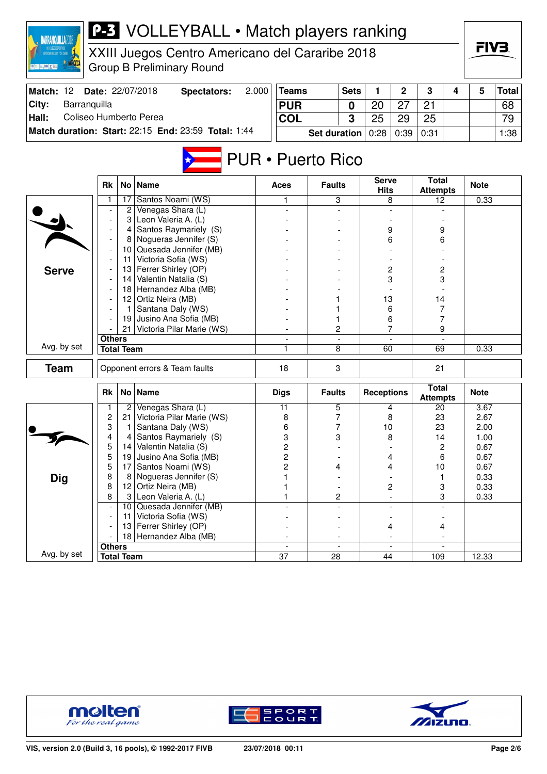| 2.000<br>Match: 12<br>Date: 22/07/2018<br><b>Teams</b><br>2<br>3<br>5<br><b>Total</b><br><b>Spectators:</b><br><b>Sets</b><br>1<br>4<br>City:<br>Barranquilla<br><b>PUR</b><br>20<br>27<br>21<br>68<br>0<br>Coliseo Humberto Perea<br>Hall:<br>3<br>25<br>25<br><b>COL</b><br>29<br>79<br>Match duration: Start: 22:15 End: 23:59 Total: 1:44<br><b>Set duration</b><br>0:28<br>0:39<br>0:31<br>1:38<br><b>PUR • Puerto Rico</b><br><b>Serve</b><br><b>Total</b><br>No   Name<br>Rk<br><b>Faults</b><br><b>Note</b><br>Aces<br><b>Hits</b><br><b>Attempts</b><br>Santos Noami (WS)<br>17<br>3<br>0.33<br>8<br>12<br>1<br>Venegas Shara (L)<br>$\overline{c}$<br>Leon Valeria A. (L)<br>3<br>Santos Raymariely (S)<br>9<br>9<br>4<br>Nogueras Jennifer (S)<br>8<br>6<br>6<br>10 Quesada Jennifer (MB)<br>Victoria Sofia (WS)<br>11<br>Ferrer Shirley (OP)<br>13<br>2<br>2<br><b>Serve</b><br>3<br>3<br>Valentin Natalia (S)<br>14<br>18 Hernandez Alba (MB) |
|------------------------------------------------------------------------------------------------------------------------------------------------------------------------------------------------------------------------------------------------------------------------------------------------------------------------------------------------------------------------------------------------------------------------------------------------------------------------------------------------------------------------------------------------------------------------------------------------------------------------------------------------------------------------------------------------------------------------------------------------------------------------------------------------------------------------------------------------------------------------------------------------------------------------------------------------------------|
|                                                                                                                                                                                                                                                                                                                                                                                                                                                                                                                                                                                                                                                                                                                                                                                                                                                                                                                                                            |
|                                                                                                                                                                                                                                                                                                                                                                                                                                                                                                                                                                                                                                                                                                                                                                                                                                                                                                                                                            |
|                                                                                                                                                                                                                                                                                                                                                                                                                                                                                                                                                                                                                                                                                                                                                                                                                                                                                                                                                            |
|                                                                                                                                                                                                                                                                                                                                                                                                                                                                                                                                                                                                                                                                                                                                                                                                                                                                                                                                                            |
|                                                                                                                                                                                                                                                                                                                                                                                                                                                                                                                                                                                                                                                                                                                                                                                                                                                                                                                                                            |
|                                                                                                                                                                                                                                                                                                                                                                                                                                                                                                                                                                                                                                                                                                                                                                                                                                                                                                                                                            |
|                                                                                                                                                                                                                                                                                                                                                                                                                                                                                                                                                                                                                                                                                                                                                                                                                                                                                                                                                            |
|                                                                                                                                                                                                                                                                                                                                                                                                                                                                                                                                                                                                                                                                                                                                                                                                                                                                                                                                                            |
|                                                                                                                                                                                                                                                                                                                                                                                                                                                                                                                                                                                                                                                                                                                                                                                                                                                                                                                                                            |
|                                                                                                                                                                                                                                                                                                                                                                                                                                                                                                                                                                                                                                                                                                                                                                                                                                                                                                                                                            |
|                                                                                                                                                                                                                                                                                                                                                                                                                                                                                                                                                                                                                                                                                                                                                                                                                                                                                                                                                            |
|                                                                                                                                                                                                                                                                                                                                                                                                                                                                                                                                                                                                                                                                                                                                                                                                                                                                                                                                                            |
|                                                                                                                                                                                                                                                                                                                                                                                                                                                                                                                                                                                                                                                                                                                                                                                                                                                                                                                                                            |
|                                                                                                                                                                                                                                                                                                                                                                                                                                                                                                                                                                                                                                                                                                                                                                                                                                                                                                                                                            |
|                                                                                                                                                                                                                                                                                                                                                                                                                                                                                                                                                                                                                                                                                                                                                                                                                                                                                                                                                            |
|                                                                                                                                                                                                                                                                                                                                                                                                                                                                                                                                                                                                                                                                                                                                                                                                                                                                                                                                                            |
| 12 Ortiz Neira (MB)<br>13<br>14                                                                                                                                                                                                                                                                                                                                                                                                                                                                                                                                                                                                                                                                                                                                                                                                                                                                                                                            |
| Santana Daly (WS)<br>6<br>7<br>$\mathbf{1}$                                                                                                                                                                                                                                                                                                                                                                                                                                                                                                                                                                                                                                                                                                                                                                                                                                                                                                                |
| Jusino Ana Sofia (MB)<br>7<br>19<br>6                                                                                                                                                                                                                                                                                                                                                                                                                                                                                                                                                                                                                                                                                                                                                                                                                                                                                                                      |
| 7<br>2<br>21<br>Victoria Pilar Marie (WS)<br>9                                                                                                                                                                                                                                                                                                                                                                                                                                                                                                                                                                                                                                                                                                                                                                                                                                                                                                             |
| <b>Others</b>                                                                                                                                                                                                                                                                                                                                                                                                                                                                                                                                                                                                                                                                                                                                                                                                                                                                                                                                              |
| Avg. by set<br><b>Total Team</b><br>8<br>69<br>0.33<br>60<br>1                                                                                                                                                                                                                                                                                                                                                                                                                                                                                                                                                                                                                                                                                                                                                                                                                                                                                             |
| <b>Team</b><br>Opponent errors & Team faults<br>3<br>18<br>21                                                                                                                                                                                                                                                                                                                                                                                                                                                                                                                                                                                                                                                                                                                                                                                                                                                                                              |
| <b>Total</b><br>No Name<br><b>Note</b><br>Rk<br><b>Faults</b><br><b>Receptions</b><br><b>Digs</b><br><b>Attempts</b>                                                                                                                                                                                                                                                                                                                                                                                                                                                                                                                                                                                                                                                                                                                                                                                                                                       |
| Venegas Shara (L)<br>5<br>3.67<br>2<br>11<br>20<br>4                                                                                                                                                                                                                                                                                                                                                                                                                                                                                                                                                                                                                                                                                                                                                                                                                                                                                                       |
| $\overline{c}$<br>Victoria Pilar Marie (WS)<br>7<br>21<br>8<br>23<br>2.67<br>8                                                                                                                                                                                                                                                                                                                                                                                                                                                                                                                                                                                                                                                                                                                                                                                                                                                                             |
| 3<br>Santana Daly (WS)<br>7<br>6<br>10<br>23<br>2.00<br>1                                                                                                                                                                                                                                                                                                                                                                                                                                                                                                                                                                                                                                                                                                                                                                                                                                                                                                  |
| 3<br>4<br>Santos Raymariely (S)<br>3<br>8<br>14<br>1.00<br>4<br>5<br>$\overline{c}$<br>Valentin Natalia (S)<br>2<br>0.67<br> 4                                                                                                                                                                                                                                                                                                                                                                                                                                                                                                                                                                                                                                                                                                                                                                                                                             |
| 5<br>19<br>2<br>Jusino Ana Sofia (MB)<br>4<br>6<br>0.67                                                                                                                                                                                                                                                                                                                                                                                                                                                                                                                                                                                                                                                                                                                                                                                                                                                                                                    |
| 5<br>Santos Noami (WS)<br>17<br>2<br>10<br>0.67<br>4<br>4                                                                                                                                                                                                                                                                                                                                                                                                                                                                                                                                                                                                                                                                                                                                                                                                                                                                                                  |
| Nogueras Jennifer (S)<br>8<br><b>Dig</b><br>0.33<br>8<br>1<br>1                                                                                                                                                                                                                                                                                                                                                                                                                                                                                                                                                                                                                                                                                                                                                                                                                                                                                            |
| 12 Ortiz Neira (MB)<br>8<br>2<br>3<br>0.33<br>1                                                                                                                                                                                                                                                                                                                                                                                                                                                                                                                                                                                                                                                                                                                                                                                                                                                                                                            |
| 3 Leon Valeria A. (L)<br>2<br>3<br>0.33<br>8<br>1<br>$\blacksquare$                                                                                                                                                                                                                                                                                                                                                                                                                                                                                                                                                                                                                                                                                                                                                                                                                                                                                        |
| Quesada Jennifer (MB)<br>10<br>$\overline{\phantom{a}}$                                                                                                                                                                                                                                                                                                                                                                                                                                                                                                                                                                                                                                                                                                                                                                                                                                                                                                    |
| Victoria Sofia (WS)<br>11 <sup>1</sup>                                                                                                                                                                                                                                                                                                                                                                                                                                                                                                                                                                                                                                                                                                                                                                                                                                                                                                                     |
| 13 Ferrer Shirley (OP)<br>4<br>$\overline{4}$                                                                                                                                                                                                                                                                                                                                                                                                                                                                                                                                                                                                                                                                                                                                                                                                                                                                                                              |
| 18 Hernandez Alba (MB)<br>$\blacksquare$<br>$\blacksquare$<br>$\overline{\phantom{a}}$<br>$\overline{\phantom{a}}$                                                                                                                                                                                                                                                                                                                                                                                                                                                                                                                                                                                                                                                                                                                                                                                                                                         |
| <b>Others</b><br>Avg. by set<br>$\overline{37}$<br>12.33<br>$\overline{28}$<br><b>Total Team</b><br>44<br>109                                                                                                                                                                                                                                                                                                                                                                                                                                                                                                                                                                                                                                                                                                                                                                                                                                              |



**BARRANQUILLA2018** 



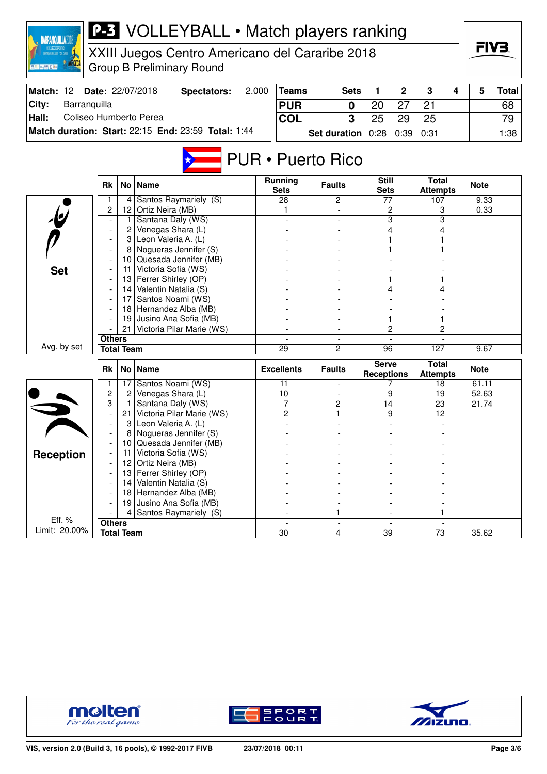| ※ 百度 はずる                        |                     |                   | XXIII Juegos Centro Americano del Cararibe 2018<br><b>Group B Preliminary Round</b> |       |                                            |                     |                          |                                   |                          |                                 |   | FIV3.       |              |
|---------------------------------|---------------------|-------------------|-------------------------------------------------------------------------------------|-------|--------------------------------------------|---------------------|--------------------------|-----------------------------------|--------------------------|---------------------------------|---|-------------|--------------|
| Match: 12                       |                     |                   | Date: 22/07/2018<br><b>Spectators:</b>                                              | 2.000 | <b>Teams</b>                               |                     | <b>Sets</b>              | 1.                                | $\mathbf{2}$             | 3                               | 4 | 5           | <b>Total</b> |
| City:<br>Barranquilla           |                     |                   |                                                                                     |       | <b>PUR</b>                                 |                     | 0                        | 20                                | 27                       | 21                              |   |             | 68           |
| Coliseo Humberto Perea<br>Hall: |                     |                   |                                                                                     |       | <b>COL</b>                                 |                     | 3                        | 25                                | 29                       | 25                              |   |             | 79           |
|                                 |                     |                   | Match duration: Start: 22:15 End: 23:59 Total: 1:44                                 |       |                                            | <b>Set duration</b> |                          | 0:28                              | 0:39                     | 0:31                            |   |             | 1:38         |
|                                 | Rk                  |                   | No Name                                                                             |       | <b>PUR</b> • Puerto Rico<br><b>Running</b> | <b>Faults</b>       |                          | <b>Still</b>                      |                          | <b>Total</b>                    |   | <b>Note</b> |              |
|                                 |                     |                   |                                                                                     |       | <b>Sets</b>                                |                     |                          | <b>Sets</b>                       |                          | <b>Attempts</b>                 |   |             |              |
|                                 | 1<br>$\overline{c}$ | 4                 | Santos Raymariely (S)<br>12 Ortiz Neira (MB)                                        |       | 28                                         |                     | 2                        | 77                                |                          | 107                             |   | 9.33        |              |
|                                 |                     | 1.                | Santana Daly (WS)                                                                   |       | 1                                          |                     |                          |                                   | 2<br>3                   | 3<br>3                          |   | 0.33        |              |
|                                 |                     | 2                 | Venegas Shara (L)                                                                   |       |                                            |                     |                          |                                   | 4                        |                                 |   |             |              |
|                                 |                     | 3                 | Leon Valeria A. (L)                                                                 |       |                                            |                     |                          |                                   |                          |                                 |   |             |              |
|                                 |                     | 8                 | Nogueras Jennifer (S)                                                               |       |                                            |                     |                          |                                   |                          |                                 |   |             |              |
|                                 |                     |                   | 10 Quesada Jennifer (MB)                                                            |       |                                            |                     |                          |                                   |                          |                                 |   |             |              |
| <b>Set</b>                      |                     |                   | 11 Victoria Sofia (WS)                                                              |       |                                            |                     |                          |                                   |                          |                                 |   |             |              |
|                                 |                     |                   | 13 Ferrer Shirley (OP)                                                              |       |                                            |                     |                          |                                   |                          |                                 |   |             |              |
|                                 |                     |                   | 14 Valentin Natalia (S)                                                             |       |                                            |                     |                          |                                   |                          |                                 |   |             |              |
|                                 |                     | 17                | Santos Noami (WS)                                                                   |       |                                            |                     |                          |                                   |                          |                                 |   |             |              |
|                                 |                     | 18                | Hernandez Alba (MB)                                                                 |       |                                            |                     |                          |                                   |                          |                                 |   |             |              |
|                                 |                     | 21                | 19 Jusino Ana Sofia (MB)<br>Victoria Pilar Marie (WS)                               |       |                                            |                     |                          |                                   | 2                        | 1<br>2                          |   |             |              |
|                                 | <b>Others</b>       |                   |                                                                                     |       | $\overline{a}$                             |                     | $\overline{\phantom{a}}$ |                                   | $\overline{\phantom{a}}$ |                                 |   |             |              |
| Avg. by set                     |                     | <b>Total Team</b> |                                                                                     |       | 29                                         | 2                   |                          | 96                                |                          | 127                             |   | 9.67        |              |
|                                 |                     |                   |                                                                                     |       |                                            |                     |                          |                                   |                          |                                 |   |             |              |
|                                 | <b>Rk</b>           |                   | No   Name                                                                           |       | <b>Excellents</b>                          | <b>Faults</b>       |                          | <b>Serve</b><br><b>Receptions</b> |                          | <b>Total</b><br><b>Attempts</b> |   | <b>Note</b> |              |
|                                 | 1                   |                   | 17 Santos Noami (WS)                                                                |       | 11                                         |                     |                          |                                   | 7                        | 18                              |   | 61.11       |              |
|                                 | 2                   | 2                 | Venegas Shara (L)                                                                   |       | 10                                         |                     |                          |                                   | 9                        | 19                              |   | 52.63       |              |
|                                 | 3                   | 1<br>21           | Santana Daly (WS)<br>Victoria Pilar Marie (WS)                                      |       | 7<br>$\overline{2}$                        | 2<br>1              |                          | 14                                | 9                        | 23<br>12                        |   | 21.74       |              |
|                                 |                     | 3                 | Leon Valeria A. (L)                                                                 |       |                                            |                     |                          |                                   |                          |                                 |   |             |              |
|                                 |                     | 8                 | Nogueras Jennifer (S)                                                               |       |                                            |                     |                          |                                   |                          |                                 |   |             |              |
|                                 |                     | 10                | Quesada Jennifer (MB)                                                               |       |                                            |                     |                          |                                   |                          |                                 |   |             |              |
| <b>Reception</b>                |                     |                   | 11 Victoria Sofia (WS)                                                              |       |                                            |                     |                          |                                   |                          |                                 |   |             |              |
|                                 |                     | 12                | Ortiz Neira (MB)                                                                    |       |                                            |                     |                          |                                   |                          |                                 |   |             |              |
|                                 |                     |                   | 13 Ferrer Shirley (OP)                                                              |       |                                            |                     |                          |                                   |                          |                                 |   |             |              |
|                                 |                     |                   | 14 Valentin Natalia (S)                                                             |       |                                            |                     |                          |                                   |                          |                                 |   |             |              |
|                                 |                     |                   | 18 Hernandez Alba (MB)                                                              |       |                                            |                     |                          |                                   |                          |                                 |   |             |              |
|                                 |                     | 19                | Jusino Ana Sofia (MB)                                                               |       |                                            |                     |                          |                                   |                          |                                 |   |             |              |
| Eff. %                          |                     | 4                 | Santos Raymariely (S)                                                               |       |                                            | 1                   |                          |                                   |                          |                                 |   |             |              |
| Limit: 20.00%                   | <b>Others</b>       | <b>Total Team</b> |                                                                                     |       | 30                                         |                     | 4                        | 39                                |                          | 73                              |   | 35.62       |              |
|                                 |                     |                   |                                                                                     |       |                                            |                     |                          |                                   |                          |                                 |   |             |              |



BARRANQUILLA2018





FIV<sub>3</sub>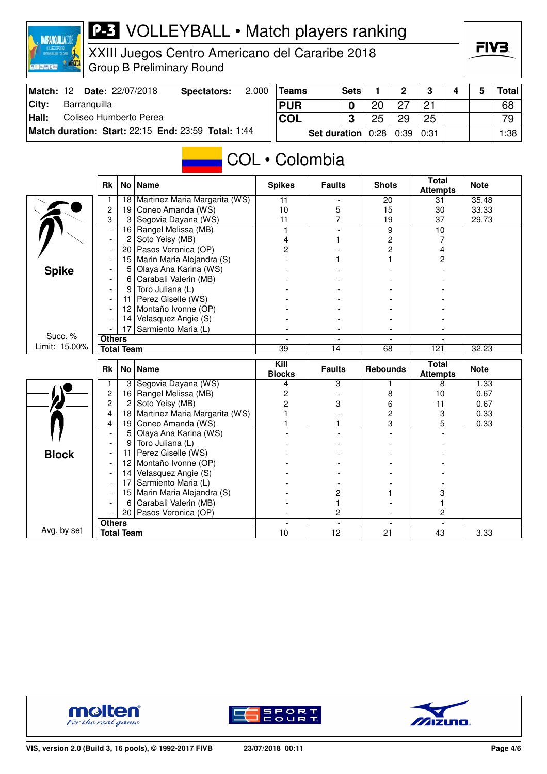

XXIII Juegos Centro Americano del Cararibe 2018 Group B Preliminary Round

| Match: 12     | <b>Date: 22/07/2018</b>                             | Spectators: | 2.0001 | <b>Teams</b>                  | <b>Sets</b> |                | ົ  | ≏      |  | Total│ |
|---------------|-----------------------------------------------------|-------------|--------|-------------------------------|-------------|----------------|----|--------|--|--------|
| ∣Citv:        | Barranguilla                                        |             |        | <b>PUR</b>                    |             | 2 <sup>c</sup> |    | 21     |  | 68     |
| $\vert$ Hall: | Coliseo Humberto Perea                              |             |        | <b>COL</b>                    |             | 25             | 29 | 25     |  | 79     |
|               | Match duration: Start: 22:15 End: 23:59 Total: 1:44 |             |        | Set duration $0.28 \mid 0.39$ |             |                |    | ∣ 0:31 |  | 1:38   |

# COL • Colombia

|               | <b>Rk</b>                | No                | <b>Name</b>                   | <b>Spikes</b>         | <b>Faults</b>            | <b>Shots</b>         | <b>Total</b><br><b>Attempts</b> | <b>Note</b> |
|---------------|--------------------------|-------------------|-------------------------------|-----------------------|--------------------------|----------------------|---------------------------------|-------------|
|               |                          | 18                | Martinez Maria Margarita (WS) | 11                    |                          | 20                   | 31                              | 35.48       |
|               | $\overline{2}$           | 19                | Coneo Amanda (WS)             | 10                    | 5                        | 15                   | 30                              | 33.33       |
|               | 3                        | 3                 | Segovia Dayana (WS)           | 11                    | $\overline{7}$           | 19                   | 37                              | 29.73       |
|               | $\overline{a}$           | 16                | Rangel Melissa (MB)           | 1                     | $\overline{a}$           | 9                    | 10                              |             |
|               | $\overline{\phantom{a}}$ | $\overline{c}$    | Soto Yeisy (MB)               | 4                     | 1                        | $\overline{c}$       | 7                               |             |
|               |                          | 20                | Pasos Veronica (OP)           | $\overline{2}$        |                          | $\overline{c}$       | $\overline{4}$                  |             |
|               |                          | 15                | Marin Maria Alejandra (S)     |                       | 1                        | 1                    | 2                               |             |
| <b>Spike</b>  |                          | 5                 | Olaya Ana Karina (WS)         |                       |                          |                      |                                 |             |
|               |                          | 6                 | Carabali Valerin (MB)         |                       |                          |                      |                                 |             |
|               |                          | 9                 | Toro Juliana (L)              |                       |                          |                      |                                 |             |
|               |                          | 11                | Perez Giselle (WS)            |                       |                          |                      |                                 |             |
|               |                          | 12                | Montaño Ivonne (OP)           |                       |                          |                      |                                 |             |
|               |                          | 14                | Velasquez Angie (S)           |                       |                          |                      |                                 |             |
|               |                          | 17                | Sarmiento Maria (L)           |                       |                          |                      |                                 |             |
| Succ. %       | <b>Others</b>            |                   |                               |                       | $\overline{\phantom{0}}$ |                      |                                 |             |
| Limit: 15.00% |                          | <b>Total Team</b> |                               | 39                    | 14                       | 68                   | 121                             | 32.23       |
|               |                          |                   |                               |                       |                          |                      |                                 |             |
|               | <b>Rk</b>                |                   | No   Name                     | Kill<br><b>Blocks</b> | <b>Faults</b>            | <b>Rebounds</b>      | <b>Total</b><br><b>Attempts</b> | <b>Note</b> |
|               | $\mathbf{1}$             | 3                 | Segovia Dayana (WS)           | 4                     | 3                        | 1.                   | 8                               | 1.33        |
|               | $\overline{c}$           | 16                | Rangel Melissa (MB)           | 2                     |                          | 8                    | 10                              | 0.67        |
|               | 2                        | $\overline{c}$    | Soto Yeisy (MB)               | 2                     | 3                        | 6                    | 11                              | 0.67        |
|               | 4                        | 18                | Martinez Maria Margarita (WS) |                       |                          | $\overline{c}$       | 3                               | 0.33        |
|               | 4                        | 19                | Coneo Amanda (WS)             |                       | 1                        | 3                    | 5                               | 0.33        |
|               |                          | 5                 | Olaya Ana Karina (WS)         |                       |                          |                      |                                 |             |
|               |                          | 9                 | Toro Juliana (L)              |                       |                          |                      |                                 |             |
| <b>Block</b>  |                          | 11                | Perez Giselle (WS)            |                       |                          |                      |                                 |             |
|               |                          | 12                | Montaño Ivonne (OP)           |                       |                          |                      |                                 |             |
|               |                          | 14                | Velasquez Angie (S)           |                       |                          |                      |                                 |             |
|               |                          | 17                | Sarmiento Maria (L)           |                       |                          |                      |                                 |             |
|               |                          | 15                | Marin Maria Alejandra (S)     |                       | 2                        |                      | 3                               |             |
|               |                          | 6                 | Carabali Valerin (MB)         |                       | 1                        |                      |                                 |             |
|               |                          | 20 <sub>1</sub>   | Pasos Veronica (OP)           |                       | 2                        |                      | 2                               |             |
| Avg. by set   | <b>Others</b>            | <b>Total Team</b> |                               | $\blacksquare$<br>10  | $\blacksquare$<br>12     | $\blacksquare$<br>21 | $\mathbf{r}$<br>43              | 3.33        |





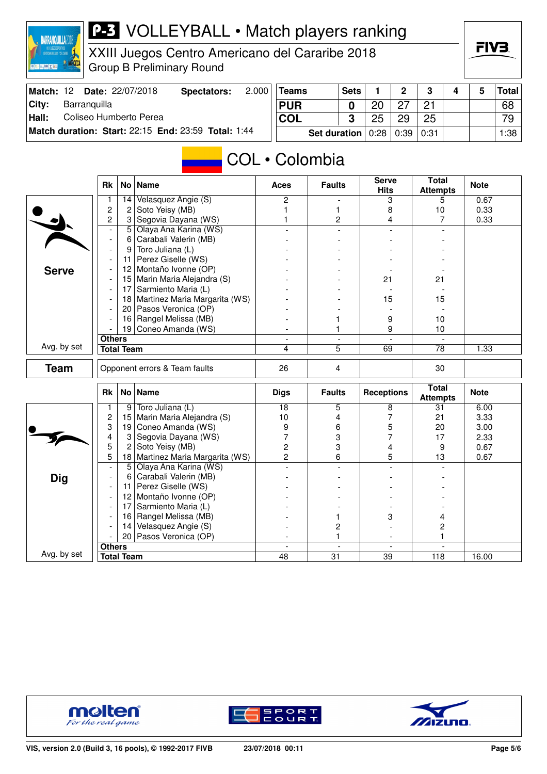

XXIII Juegos Centro Americano del Cararibe 2018 Group B Preliminary Round

| Match: 12 |              | <b>Date: 22/07/2018</b> | Spectators:                                         | 2.000 | Teams      |              | <b>Sets</b> |                  | C  | ≏    |  | Total |
|-----------|--------------|-------------------------|-----------------------------------------------------|-------|------------|--------------|-------------|------------------|----|------|--|-------|
| ∣Citv:    | Barranguilla |                         |                                                     |       | <b>PUR</b> |              |             | റ്റ              |    | 21   |  | 68    |
| Hall:     |              | Coliseo Humberto Perea  |                                                     |       | COL        |              |             | 25               | 29 | 25   |  | 79    |
|           |              |                         | Match duration: Start: 22:15 End: 23:59 Total: 1:44 |       |            | Set duration |             | $0:28 \mid 0:39$ |    | 0:31 |  | 1:38  |

#### COL • Colombia

|              | <b>Rk</b>                |                   | No   Name                     | <b>Aces</b>              | <b>Faults</b>                  | <b>Serve</b><br><b>Hits</b> | <b>Total</b><br><b>Attempts</b> | <b>Note</b> |
|--------------|--------------------------|-------------------|-------------------------------|--------------------------|--------------------------------|-----------------------------|---------------------------------|-------------|
|              | 1                        | 14                | Velasquez Angie (S)           | 2                        |                                | 3                           | 5                               | 0.67        |
|              | $\overline{c}$           | 2                 | Soto Yeisy (MB)               | 1                        | 1                              | 8                           | 10                              | 0.33        |
|              | $\overline{c}$           | 3                 | Segovia Dayana (WS)           | 1                        | $\overline{c}$                 | 4                           | 7                               | 0.33        |
|              | $\overline{\phantom{a}}$ | 5                 | Olaya Ana Karina (WS)         |                          | $\overline{a}$                 |                             |                                 |             |
|              | $\overline{\phantom{a}}$ | 6                 | Carabali Valerin (MB)         |                          |                                |                             |                                 |             |
|              | $\blacksquare$           | 9                 | Toro Juliana (L)              |                          |                                |                             |                                 |             |
|              | $\overline{\phantom{a}}$ | 11                | Perez Giselle (WS)            |                          |                                |                             |                                 |             |
| <b>Serve</b> |                          | 12 <sup>2</sup>   | Montaño Ivonne (OP)           |                          |                                |                             |                                 |             |
|              | $\overline{\phantom{a}}$ | 15                | Marin Maria Alejandra (S)     |                          |                                | 21                          | 21                              |             |
|              | $\overline{\phantom{a}}$ | 17                | Sarmiento Maria (L)           |                          |                                |                             |                                 |             |
|              |                          | 18                | Martinez Maria Margarita (WS) |                          |                                | 15                          | 15                              |             |
|              | $\blacksquare$           | 20 <sub>1</sub>   | Pasos Veronica (OP)           |                          |                                |                             |                                 |             |
|              |                          | 16                | Rangel Melissa (MB)           |                          |                                | 9                           | 10                              |             |
|              |                          | 19 <sup>1</sup>   | Coneo Amanda (WS)             |                          | 1                              | 9                           | 10                              |             |
|              | <b>Others</b>            |                   |                               | $\overline{\phantom{a}}$ | $\overline{\phantom{a}}$       |                             |                                 |             |
| Avg. by set  |                          | <b>Total Team</b> |                               | 4                        | 5                              | 69                          | 78                              | 1.33        |
| <b>Team</b>  |                          |                   | Opponent errors & Team faults | 26                       | $\overline{4}$                 |                             | 30                              |             |
|              |                          |                   |                               |                          |                                |                             |                                 |             |
|              |                          |                   |                               |                          |                                |                             |                                 |             |
|              | <b>Rk</b>                |                   | No   Name                     | <b>Digs</b>              | <b>Faults</b>                  | <b>Receptions</b>           | <b>Total</b><br><b>Attempts</b> | <b>Note</b> |
|              | 1                        | 9                 | Toro Juliana (L)              | $\overline{18}$          | 5                              | 8                           | 31                              | 6.00        |
|              | $\overline{\mathbf{c}}$  | 15                | Marin Maria Alejandra (S)     | 10                       | 4                              | 7                           | 21                              | 3.33        |
|              | 3                        | 19                | Coneo Amanda (WS)             | 9                        | 6                              | 5                           | 20                              | 3.00        |
|              | 4                        | 3                 | Segovia Dayana (WS)           | 7                        | 3                              | 7                           | 17                              | 2.33        |
|              | 5                        | 2                 | Soto Yeisy (MB)               | $\overline{c}$           | 3                              | 4                           | 9                               | 0.67        |
|              | 5                        | 18                | Martinez Maria Margarita (WS) | $\overline{2}$           | 6                              | 5                           | 13                              | 0.67        |
|              | $\overline{a}$           | $\overline{5}$    | Olaya Ana Karina (WS)         |                          |                                |                             |                                 |             |
| <b>Dig</b>   | $\overline{\phantom{0}}$ | 6                 | Carabali Valerin (MB)         |                          |                                |                             |                                 |             |
|              | $\overline{\phantom{a}}$ | 11                | Perez Giselle (WS)            |                          |                                |                             |                                 |             |
|              | $\overline{\phantom{a}}$ | 12 <sup>2</sup>   | Montaño Ivonne (OP)           |                          |                                |                             |                                 |             |
|              | $\overline{\phantom{a}}$ | 17                | Sarmiento Maria (L)           |                          |                                |                             |                                 |             |
|              |                          | 16                | Rangel Melissa (MB)           |                          | 1                              | 3                           | 4                               |             |
|              |                          | 14                | Velasquez Angie (S)           |                          | 2                              |                             | 2                               |             |
|              |                          | 20 <sub>1</sub>   | Pasos Veronica (OP)           |                          | 1                              | $\blacksquare$              | 1                               |             |
| Avg. by set  | <b>Others</b>            | <b>Total Team</b> |                               | $\overline{a}$<br>48     | $\overline{\phantom{a}}$<br>31 | $\overline{a}$<br>39        | $\overline{\phantom{a}}$<br>118 | 16.00       |